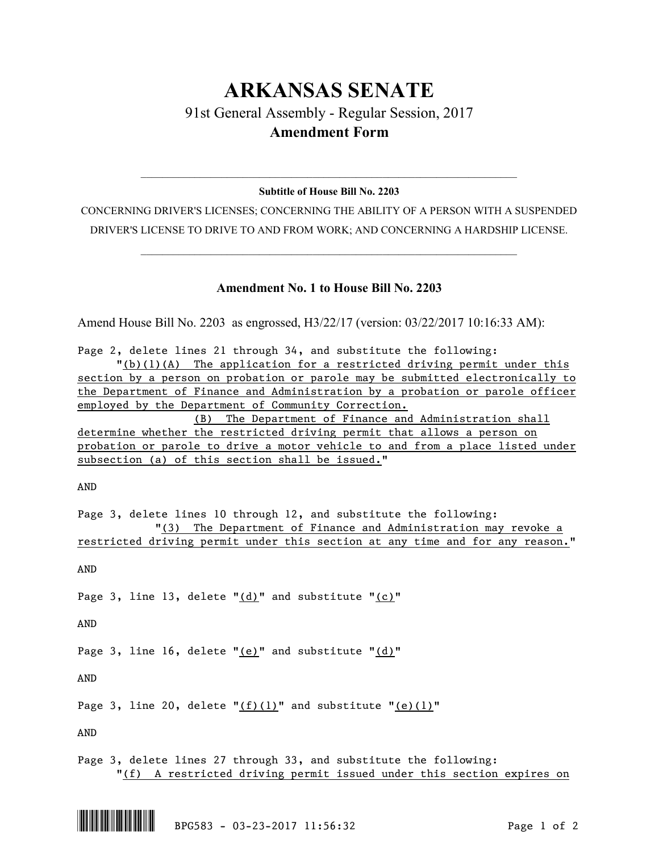## **ARKANSAS SENATE** 91st General Assembly - Regular Session, 2017

## **Amendment Form**

## $\mathcal{L}_\text{max} = \mathcal{L}_\text{max} = \mathcal{L}_\text{max} = \mathcal{L}_\text{max} = \mathcal{L}_\text{max} = \mathcal{L}_\text{max} = \mathcal{L}_\text{max} = \mathcal{L}_\text{max} = \mathcal{L}_\text{max} = \mathcal{L}_\text{max} = \mathcal{L}_\text{max} = \mathcal{L}_\text{max} = \mathcal{L}_\text{max} = \mathcal{L}_\text{max} = \mathcal{L}_\text{max} = \mathcal{L}_\text{max} = \mathcal{L}_\text{max} = \mathcal{L}_\text{max} = \mathcal{$ **Subtitle of House Bill No. 2203**

CONCERNING DRIVER'S LICENSES; CONCERNING THE ABILITY OF A PERSON WITH A SUSPENDED DRIVER'S LICENSE TO DRIVE TO AND FROM WORK; AND CONCERNING A HARDSHIP LICENSE.

 $\mathcal{L}_\text{max} = \mathcal{L}_\text{max} = \mathcal{L}_\text{max} = \mathcal{L}_\text{max} = \mathcal{L}_\text{max} = \mathcal{L}_\text{max} = \mathcal{L}_\text{max} = \mathcal{L}_\text{max} = \mathcal{L}_\text{max} = \mathcal{L}_\text{max} = \mathcal{L}_\text{max} = \mathcal{L}_\text{max} = \mathcal{L}_\text{max} = \mathcal{L}_\text{max} = \mathcal{L}_\text{max} = \mathcal{L}_\text{max} = \mathcal{L}_\text{max} = \mathcal{L}_\text{max} = \mathcal{$ 

## **Amendment No. 1 to House Bill No. 2203**

Amend House Bill No. 2203 as engrossed, H3/22/17 (version: 03/22/2017 10:16:33 AM):

| Page 2, delete lines 21 through 34, and substitute the following:             |
|-------------------------------------------------------------------------------|
| "(b)(l)(A) The application for a restricted driving permit under this         |
| section by a person on probation or parole may be submitted electronically to |
| the Department of Finance and Administration by a probation or parole officer |
| employed by the Department of Community Correction.                           |
| (B) The Department of Finance and Administration shall                        |
| determine whether the restricted driving permit that allows a person on       |
| probation or parole to drive a motor vehicle to and from a place listed under |
| subsection (a) of this section shall be issued."                              |
|                                                                               |
| AND                                                                           |
|                                                                               |
| Page 3, delete lines 10 through 12, and substitute the following:             |
| "(3) The Department of Finance and Administration may revoke a                |
| restricted driving permit under this section at any time and for any reason." |
|                                                                               |
| AND                                                                           |
|                                                                               |
| Page 3, line 13, delete $"(\text{d})"$ and substitute " $(c)"$                |
|                                                                               |
|                                                                               |
| AND                                                                           |
|                                                                               |
| Page 3, line 16, delete " $(e)$ " and substitute " $(d)$ "                    |
|                                                                               |
| AND                                                                           |
|                                                                               |
| Page 3, line 20, delete $"(f)(1)"$ and substitute " $(e)(1)"$                 |

AND

Page 3, delete lines 27 through 33, and substitute the following: "(f) A restricted driving permit issued under this section expires on